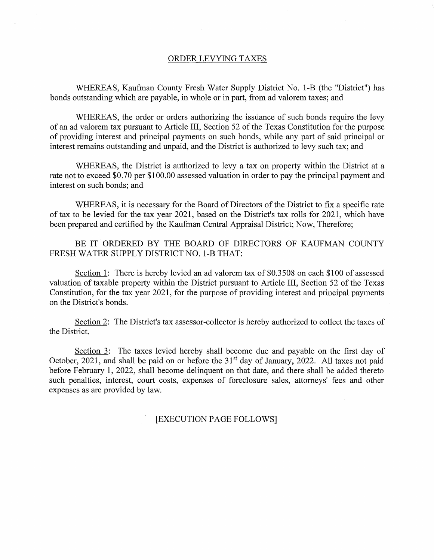## ORDER LEVYING TAXES

WHEREAS, Kaufman County Fresh Water Supply District No. 1-B (the "District") has bonds outstanding which are payable, in whole or in part, from ad valorem taxes; and

WHEREAS, the order or orders authorizing the issuance of such bonds require the levy of an ad valorem tax pursuant to Article III, Section 52 of the Texas Constitution for the purpose of providing interest and principal payments on such bonds, while any part of said principal or interest remains outstanding and unpaid, and the District is authorized to levy such tax; and

WHEREAS, the District is authorized to levy a tax on property within the District at a rate not to exceed \$0.70 per \$100.00 assessed valuation in order to pay the principal payment and interest on such bonds; and

WHEREAS, it is necessary for the Board of Directors of the District to fix a specific rate of tax to be levied for the tax year 2021, based on the District's tax rolls for 2021, which have been prepared and certified by the Kaufman Central Appraisal District; Now, Therefore;

BE IT ORDERED BY THE BOARD OF DIRECTORS OF KAUFMAN COUNTY FRESH WATER SUPPLY DISTRICT NO. 1-B THAT:

Section 1: There is hereby levied an ad valorem tax of \$0.3508 on each \$100 of assessed valuation of taxable property within the District pursuant to Article III, Section 52 of the Texas Constitution, for the tax year 2021, for the purpose of providing interest and principal payments on the District's bonds.

Section 2: The District's tax assessor-collector is hereby authorized to collect the taxes of the District.

Section 3: The taxes levied hereby shall become due and payable on the first day of October, 2021, and shall be paid on or before the 31<sup>st</sup> day of January, 2022. All taxes not paid before February 1, 2022, shall become delinquent on that date, and there shall be added thereto such penalties, interest, court costs, expenses of foreclosure sales, attorneys' fees and other expenses as are provided by law.

[EXECUTION PAGE FOLLOWS]